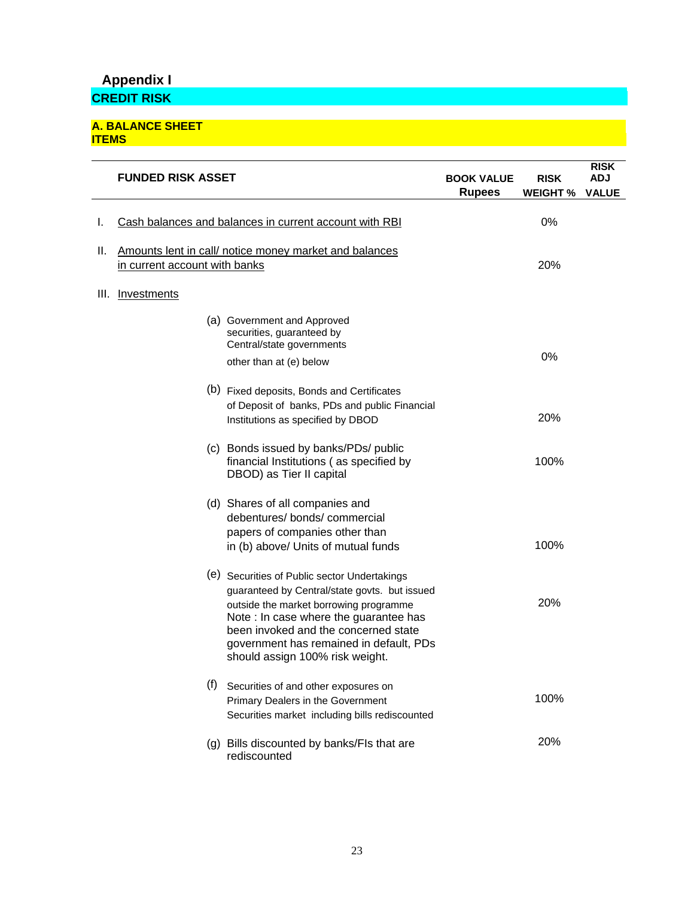# **Appendix I**

**CREDIT RISK** 

#### **A. BALANCE SHEET ITEMS**

|      | <b>FUNDED RISK ASSET</b>                                                                |                                                                                                                                                                                                                                                                                                         | <b>BOOK VALUE</b><br><b>Rupees</b> | <b>RISK</b><br><b>WEIGHT %</b> | <b>RISK</b><br><b>ADJ</b><br><b>VALUE</b> |
|------|-----------------------------------------------------------------------------------------|---------------------------------------------------------------------------------------------------------------------------------------------------------------------------------------------------------------------------------------------------------------------------------------------------------|------------------------------------|--------------------------------|-------------------------------------------|
| ı.   | Cash balances and balances in current account with RBI                                  |                                                                                                                                                                                                                                                                                                         | 0%                                 |                                |                                           |
| н.   | Amounts lent in call/ notice money market and balances<br>in current account with banks |                                                                                                                                                                                                                                                                                                         | 20%                                |                                |                                           |
| III. | Investments                                                                             |                                                                                                                                                                                                                                                                                                         |                                    |                                |                                           |
|      |                                                                                         | (a) Government and Approved<br>securities, guaranteed by<br>Central/state governments                                                                                                                                                                                                                   |                                    |                                |                                           |
|      |                                                                                         | other than at (e) below                                                                                                                                                                                                                                                                                 |                                    | 0%                             |                                           |
|      |                                                                                         | (b) Fixed deposits, Bonds and Certificates<br>of Deposit of banks, PDs and public Financial<br>Institutions as specified by DBOD                                                                                                                                                                        |                                    | 20%                            |                                           |
|      |                                                                                         | (c) Bonds issued by banks/PDs/ public<br>financial Institutions (as specified by<br>DBOD) as Tier II capital                                                                                                                                                                                            |                                    | 100%                           |                                           |
|      |                                                                                         | (d) Shares of all companies and<br>debentures/bonds/commercial<br>papers of companies other than<br>in (b) above/ Units of mutual funds                                                                                                                                                                 |                                    | 100%                           |                                           |
|      |                                                                                         | (e) Securities of Public sector Undertakings<br>guaranteed by Central/state govts. but issued<br>outside the market borrowing programme<br>Note : In case where the guarantee has<br>been invoked and the concerned state<br>government has remained in default, PDs<br>should assign 100% risk weight. |                                    | 20%                            |                                           |
|      | (f)                                                                                     | Securities of and other exposures on<br>Primary Dealers in the Government<br>Securities market including bills rediscounted                                                                                                                                                                             |                                    | 100%                           |                                           |
|      | (g)                                                                                     | Bills discounted by banks/FIs that are<br>rediscounted                                                                                                                                                                                                                                                  |                                    | 20%                            |                                           |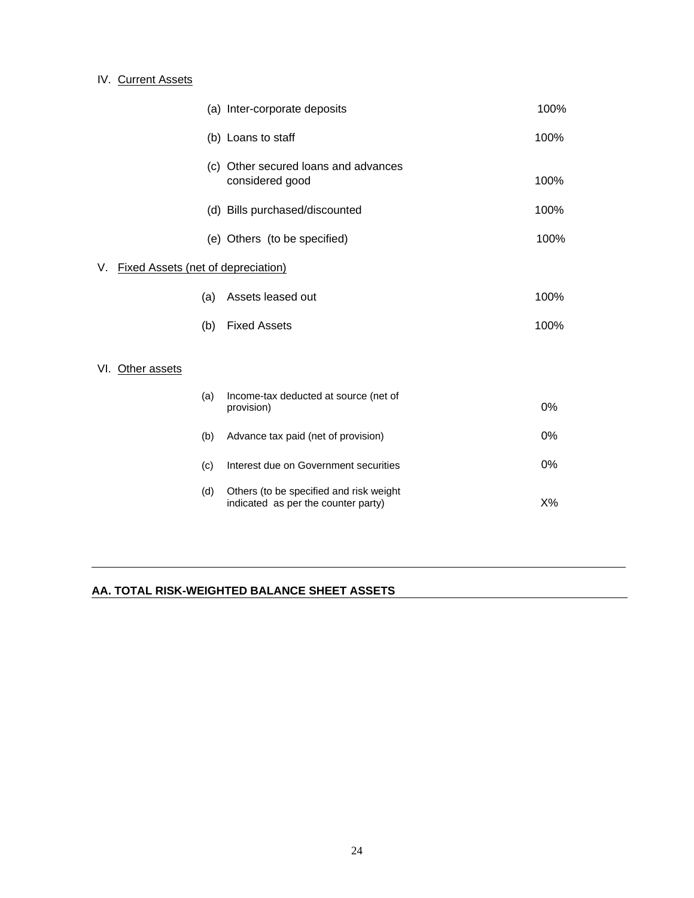## IV. Current Assets

|                                                 |     | (a) Inter-corporate deposits                                                   | 100% |  |
|-------------------------------------------------|-----|--------------------------------------------------------------------------------|------|--|
|                                                 |     | (b) Loans to staff                                                             | 100% |  |
|                                                 |     | (c) Other secured loans and advances<br>considered good                        | 100% |  |
|                                                 |     | (d) Bills purchased/discounted                                                 | 100% |  |
|                                                 |     | (e) Others (to be specified)                                                   | 100% |  |
| <b>Fixed Assets (net of depreciation)</b><br>V. |     |                                                                                |      |  |
|                                                 | (a) | Assets leased out                                                              | 100% |  |
|                                                 | (b) | <b>Fixed Assets</b>                                                            | 100% |  |
| VI. Other assets                                |     |                                                                                |      |  |
|                                                 | (a) | Income-tax deducted at source (net of<br>provision)                            | 0%   |  |
|                                                 | (b) | Advance tax paid (net of provision)                                            | 0%   |  |
|                                                 | (c) | Interest due on Government securities                                          | 0%   |  |
|                                                 | (d) | Others (to be specified and risk weight<br>indicated as per the counter party) | X%   |  |

## **AA. TOTAL RISK-WEIGHTED BALANCE SHEET ASSETS**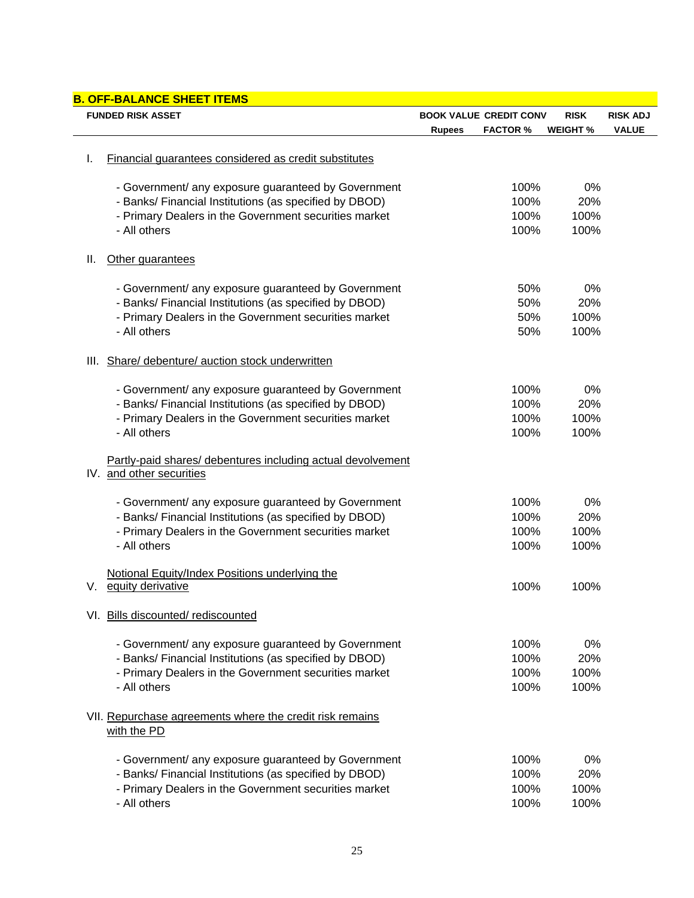| <b>B. OFF-BALANCE SHEET ITEMS</b> |                                                                                                               |                                  |                 |                 |  |  |
|-----------------------------------|---------------------------------------------------------------------------------------------------------------|----------------------------------|-----------------|-----------------|--|--|
| <b>FUNDED RISK ASSET</b>          |                                                                                                               | <b>BOOK VALUE CREDIT CONV</b>    | <b>RISK</b>     | <b>RISK ADJ</b> |  |  |
|                                   |                                                                                                               | <b>FACTOR %</b><br><b>Rupees</b> | <b>WEIGHT %</b> | <b>VALUE</b>    |  |  |
| ı.                                | Financial guarantees considered as credit substitutes                                                         |                                  |                 |                 |  |  |
|                                   |                                                                                                               |                                  |                 |                 |  |  |
|                                   | - Government/ any exposure guaranteed by Government<br>- Banks/ Financial Institutions (as specified by DBOD) | 100%<br>100%                     | 0%<br>20%       |                 |  |  |
|                                   | - Primary Dealers in the Government securities market                                                         | 100%                             | 100%            |                 |  |  |
|                                   | - All others                                                                                                  | 100%                             | 100%            |                 |  |  |
| ΙΙ.                               | Other guarantees                                                                                              |                                  |                 |                 |  |  |
|                                   |                                                                                                               |                                  |                 |                 |  |  |
|                                   | - Government/ any exposure guaranteed by Government                                                           | 50%                              | 0%              |                 |  |  |
|                                   | - Banks/ Financial Institutions (as specified by DBOD)                                                        | 50%                              | 20%             |                 |  |  |
|                                   | - Primary Dealers in the Government securities market                                                         | 50%                              | 100%            |                 |  |  |
|                                   | - All others                                                                                                  | 50%                              | 100%            |                 |  |  |
| III.                              | Share/ debenture/ auction stock underwritten                                                                  |                                  |                 |                 |  |  |
|                                   | - Government/ any exposure guaranteed by Government                                                           | 100%                             | 0%              |                 |  |  |
|                                   | - Banks/ Financial Institutions (as specified by DBOD)                                                        | 100%                             | 20%             |                 |  |  |
|                                   | - Primary Dealers in the Government securities market                                                         | 100%                             | 100%            |                 |  |  |
|                                   | - All others                                                                                                  | 100%                             | 100%            |                 |  |  |
|                                   | Partly-paid shares/ debentures including actual devolvement                                                   |                                  |                 |                 |  |  |
|                                   | IV. and other securities                                                                                      |                                  |                 |                 |  |  |
|                                   | - Government/ any exposure guaranteed by Government                                                           | 100%                             | 0%              |                 |  |  |
|                                   | - Banks/ Financial Institutions (as specified by DBOD)                                                        | 100%                             | 20%             |                 |  |  |
|                                   | - Primary Dealers in the Government securities market                                                         | 100%                             | 100%            |                 |  |  |
|                                   | - All others                                                                                                  | 100%                             | 100%            |                 |  |  |
|                                   |                                                                                                               |                                  |                 |                 |  |  |
|                                   | Notional Equity/Index Positions underlying the                                                                |                                  |                 |                 |  |  |
| V.                                | equity derivative                                                                                             | 100%                             | 100%            |                 |  |  |
|                                   | VI. Bills discounted/rediscounted                                                                             |                                  |                 |                 |  |  |
|                                   | - Government/ any exposure guaranteed by Government                                                           | 100%                             | 0%              |                 |  |  |
|                                   | - Banks/ Financial Institutions (as specified by DBOD)                                                        | 100%                             | 20%             |                 |  |  |
|                                   | - Primary Dealers in the Government securities market                                                         | 100%                             | 100%            |                 |  |  |
|                                   | - All others                                                                                                  | 100%                             | 100%            |                 |  |  |
|                                   |                                                                                                               |                                  |                 |                 |  |  |
|                                   | VII. Repurchase agreements where the credit risk remains<br>with the PD                                       |                                  |                 |                 |  |  |
|                                   |                                                                                                               |                                  |                 |                 |  |  |
|                                   | - Government/ any exposure guaranteed by Government                                                           | 100%                             | 0%              |                 |  |  |
|                                   | - Banks/ Financial Institutions (as specified by DBOD)                                                        | 100%                             | 20%             |                 |  |  |
|                                   | - Primary Dealers in the Government securities market                                                         | 100%                             | 100%            |                 |  |  |
|                                   | - All others                                                                                                  | 100%                             | 100%            |                 |  |  |